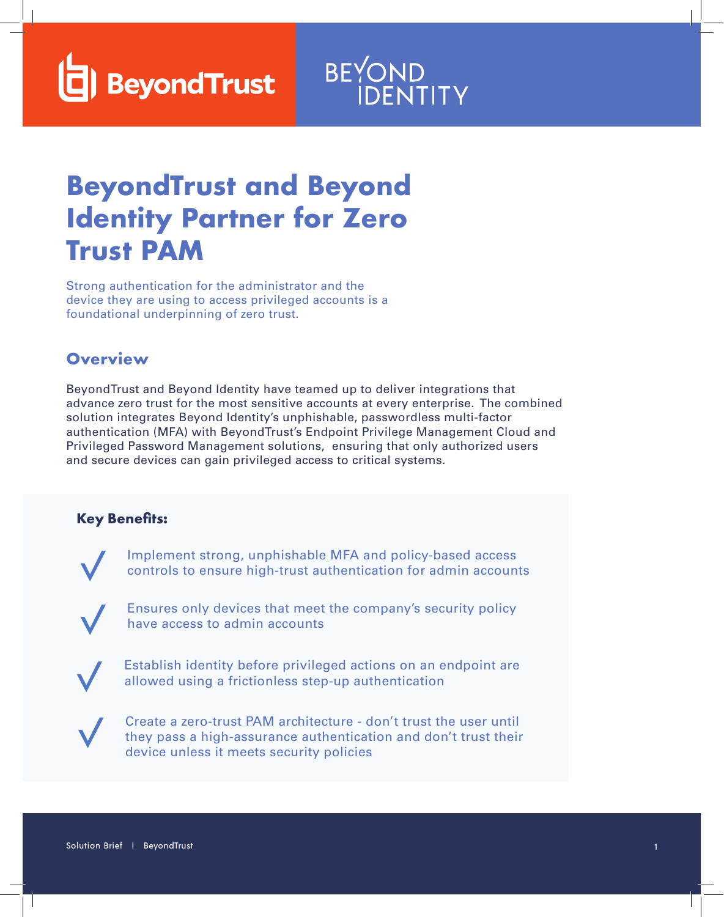**BeyondTrust** 

# BEYOND<br>IDENTITY

## **BeyondTrust and Beyond Identity Partner for Zero Trust PAM**

Strong authentication for the administrator and the device they are using to access privileged accounts is a foundational underpinning of zero trust.

#### **Overview**

BeyondTrust and Beyond Identity have teamed up to deliver integrations that advance zero trust for the most sensitive accounts at every enterprise. The combined solution integrates Beyond Identity's unphishable, passwordless multi-factor authentication (MFA) with BeyondTrust's Endpoint Privilege Management Cloud and Privileged Password Management solutions, ensuring that only authorized users and secure devices can gain privileged access to critical systems.

#### **Key Benefits:**

Implement strong, unphishable MFA and policy-based access controls to ensure high-trust authentication for admin accounts

Ensures only devices that meet the company's security policy have access to admin accounts



Establish identity before privileged actions on an endpoint are allowed using a frictionless step-up authentication



Create a zero-trust PAM architecture - don't trust the user until they pass a high-assurance authentication and don't trust their device unless it meets security policies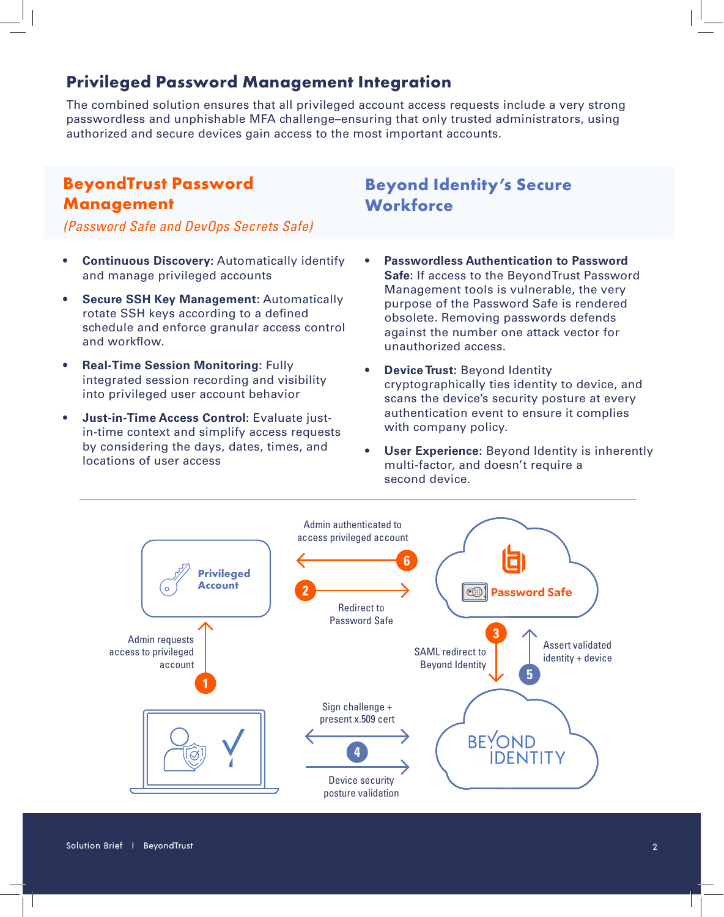#### **Privileged Password Management Integration**

The combined solution ensures that all privileged account access requests include a very strong passwordless and unphishable MFA challenge–ensuring that only trusted administrators, using authorized and secure devices gain access to the most important accounts.

#### **BeyondTrust Password Management**

*(Password Safe and DevOps Secrets Safe)*

#### • **Continuous Discovery:** Automatically identify and manage privileged accounts

- **Secure SSH Key Management:** Automatically rotate SSH keys according to a defined schedule and enforce granular access control and workflow.
- **Real-Time Session Monitoring:** Fully integrated session recording and visibility into privileged user account behavior
- **Just-in-Time Access Control:** Evaluate justin-time context and simplify access requests by considering the days, dates, times, and locations of user access
- **Beyond Identity's Secure Workforce**
- **Passwordless Authentication to Password Safe:** If access to the BeyondTrust Password Management tools is vulnerable, the very purpose of the Password Safe is rendered obsolete. Removing passwords defends against the number one attack vector for unauthorized access.
- **Device Trust: Beyond Identity** cryptographically ties identity to device, and scans the device's security posture at every authentication event to ensure it complies with company policy.
- **User Experience:** Beyond Identity is inherently multi-factor, and doesn't require a second device.